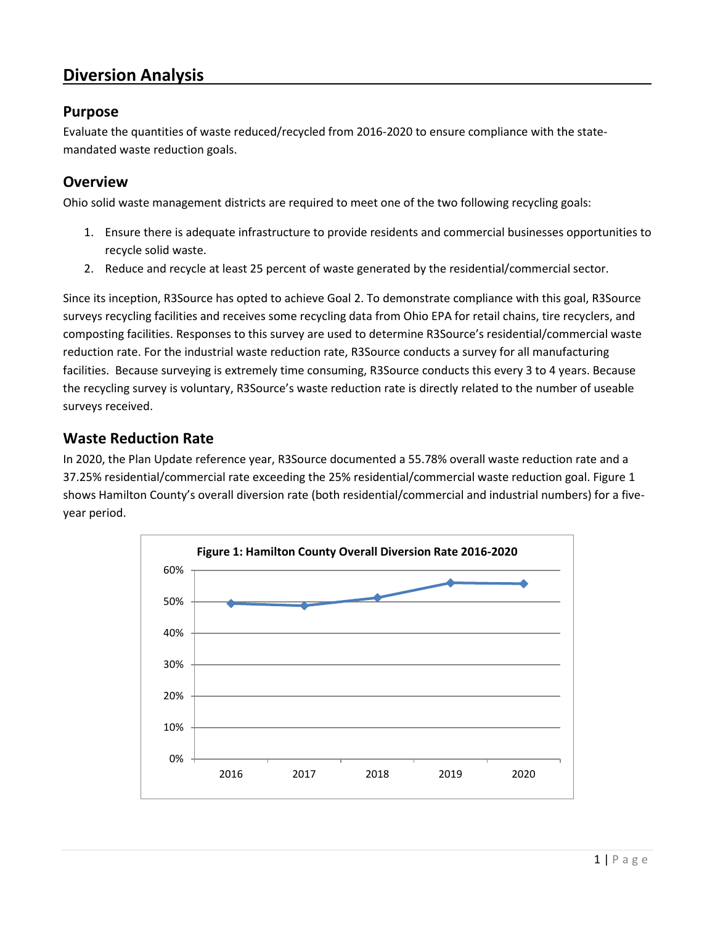# **Diversion Analysis**

### **Purpose**

Evaluate the quantities of waste reduced/recycled from 2016-2020 to ensure compliance with the statemandated waste reduction goals.

### **Overview**

Ohio solid waste management districts are required to meet one of the two following recycling goals:

- 1. Ensure there is adequate infrastructure to provide residents and commercial businesses opportunities to recycle solid waste.
- 2. Reduce and recycle at least 25 percent of waste generated by the residential/commercial sector.

Since its inception, R3Source has opted to achieve Goal 2. To demonstrate compliance with this goal, R3Source surveys recycling facilities and receives some recycling data from Ohio EPA for retail chains, tire recyclers, and composting facilities. Responses to this survey are used to determine R3Source's residential/commercial waste reduction rate. For the industrial waste reduction rate, R3Source conducts a survey for all manufacturing facilities. Because surveying is extremely time consuming, R3Source conducts this every 3 to 4 years. Because the recycling survey is voluntary, R3Source's waste reduction rate is directly related to the number of useable surveys received.

### **Waste Reduction Rate**

In 2020, the Plan Update reference year, R3Source documented a 55.78% overall waste reduction rate and a 37.25% residential/commercial rate exceeding the 25% residential/commercial waste reduction goal. Figure 1 shows Hamilton County's overall diversion rate (both residential/commercial and industrial numbers) for a fiveyear period.

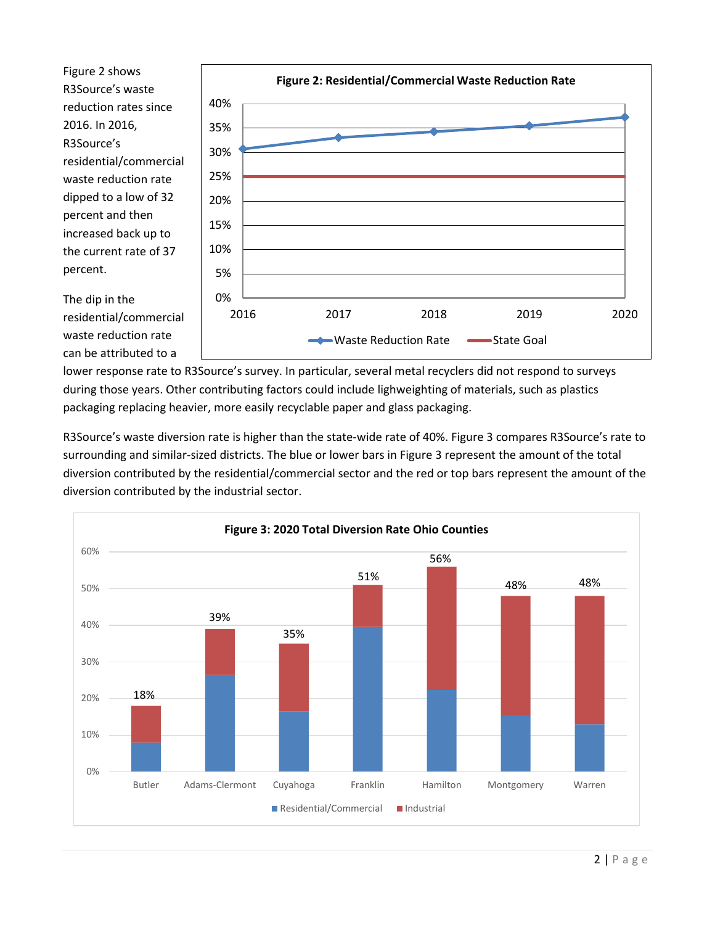Figure 2 shows R3Source's waste reduction rates since 2016. In 2016, R3Source's residential/commercial waste reduction rate dipped to a low of 32 percent and then increased back up to the current rate of 37 percent.



The dip in the residential/commercial waste reduction rate can be attributed to a

lower response rate to R3Source's survey. In particular, several metal recyclers did not respond to surveys during those years. Other contributing factors could include lighweighting of materials, such as plastics packaging replacing heavier, more easily recyclable paper and glass packaging.

R3Source's waste diversion rate is higher than the state-wide rate of 40%. Figure 3 compares R3Source's rate to surrounding and similar-sized districts. The blue or lower bars in Figure 3 represent the amount of the total diversion contributed by the residential/commercial sector and the red or top bars represent the amount of the diversion contributed by the industrial sector.

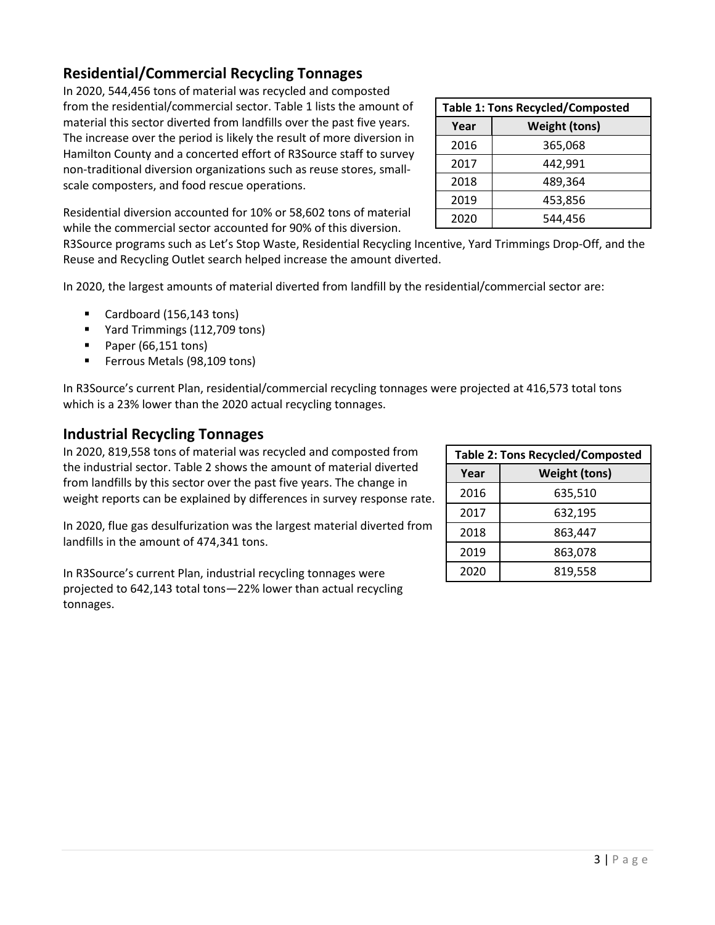$3 | P \text{age}$ 

## **Residential/Commercial Recycling Tonnages**

In 2020, 544,456 tons of material was recycled and composted from the residential/commercial sector. Table 1 lists the amount of material this sector diverted from landfills over the past five years. The increase over the period is likely the result of more diversion in Hamilton County and a concerted effort of R3Source staff to survey non-traditional diversion organizations such as reuse stores, smallscale composters, and food rescue operations.

Residential diversion accounted for 10% or 58,602 tons of material while the commercial sector accounted for 90% of this diversion.

R3Source programs such as Let's Stop Waste, Residential Recycling Incentive, Yard Trimmings Drop-Off, and the Reuse and Recycling Outlet search helped increase the amount diverted.

In 2020, the largest amounts of material diverted from landfill by the residential/commercial sector are:

- Cardboard (156,143 tons)
- Yard Trimmings (112,709 tons)
- Paper (66,151 tons)
- **Ferrous Metals (98,109 tons)**

In R3Source's current Plan, residential/commercial recycling tonnages were projected at 416,573 total tons which is a 23% lower than the 2020 actual recycling tonnages.

### **Industrial Recycling Tonnages**

In 2020, 819,558 tons of material was recycled and composted from the industrial sector. Table 2 shows the amount of material diverted from landfills by this sector over the past five years. The change in weight reports can be explained by differences in survey response rate.

In 2020, flue gas desulfurization was the largest material diverted from landfills in the amount of 474,341 tons.

In R3Source's current Plan, industrial recycling tonnages were projected to 642,143 total tons—22% lower than actual recycling tonnages.

| <b>Table 2: Tons Recycled/Composted</b> |                      |
|-----------------------------------------|----------------------|
| Year                                    | <b>Weight (tons)</b> |
| 2016                                    | 635,510              |
| 2017                                    | 632,195              |
| 2018                                    | 863,447              |
| 2019                                    | 863,078              |
| 2020                                    | 819,558              |

| <b>Table 1: Tons Recycled/Composted</b> |                      |  |
|-----------------------------------------|----------------------|--|
| Year                                    | <b>Weight (tons)</b> |  |
| 2016                                    | 365,068              |  |
| 2017                                    | 442,991              |  |
| 2018                                    | 489,364              |  |
| 2019                                    | 453,856              |  |
| 2020                                    | 544.456              |  |